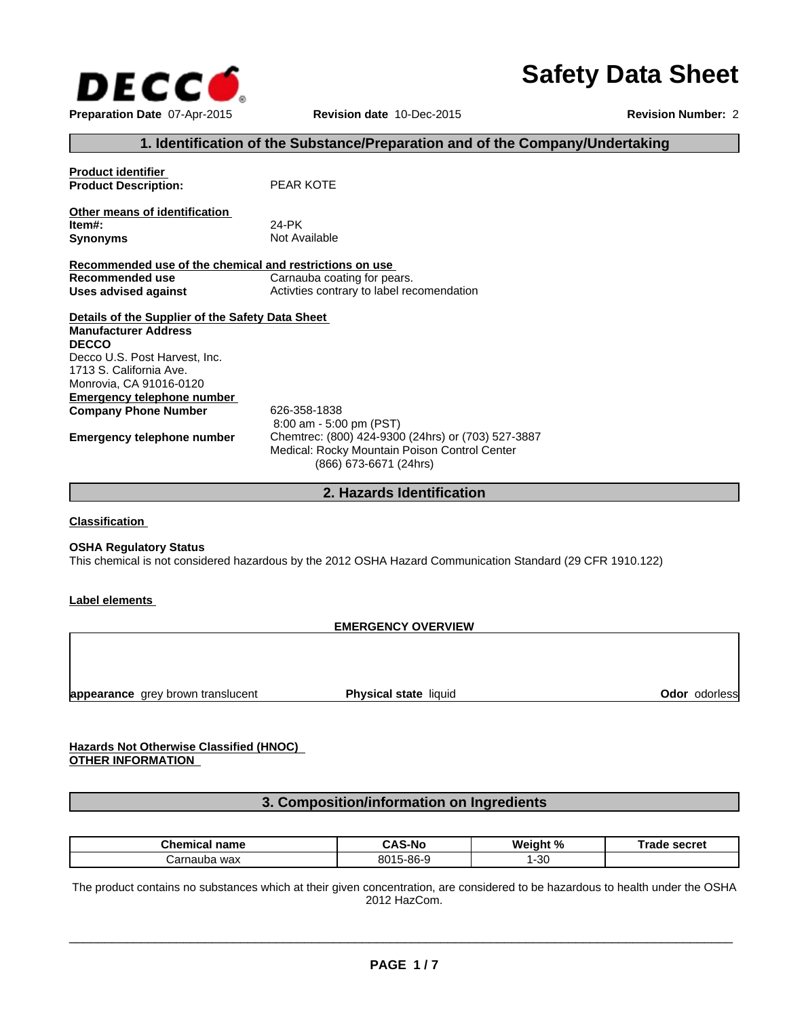

# **Safety Data Sheet**

## **1. Identification of the Substance/Preparation and of the Company/Undertaking**

| <b>Product identifier</b>                               |                                                    |
|---------------------------------------------------------|----------------------------------------------------|
| <b>Product Description:</b>                             | PEAR KOTE                                          |
|                                                         |                                                    |
| Other means of identification                           |                                                    |
| Item#:                                                  | 24-PK                                              |
| <b>Synonyms</b>                                         | Not Available                                      |
|                                                         |                                                    |
| Recommended use of the chemical and restrictions on use |                                                    |
| Recommended use                                         | Carnauba coating for pears.                        |
| Uses advised against                                    | Activities contrary to label recomendation         |
|                                                         |                                                    |
| Details of the Supplier of the Safety Data Sheet        |                                                    |
| <b>Manufacturer Address</b>                             |                                                    |
| <b>DECCO</b>                                            |                                                    |
| Decco U.S. Post Harvest, Inc.                           |                                                    |
| 1713 S. California Ave.                                 |                                                    |
| Monrovia, CA 91016-0120                                 |                                                    |
| Emergency telephone number                              |                                                    |
| <b>Company Phone Number</b>                             | 626-358-1838                                       |
|                                                         | $8:00$ am - 5:00 pm (PST)                          |
| Emergency telephone number                              | Chemtrec: (800) 424-9300 (24hrs) or (703) 527-3887 |
|                                                         | Medical: Rocky Mountain Poison Control Center      |
|                                                         | (866) 673-6671 (24hrs)                             |
|                                                         |                                                    |
|                                                         |                                                    |

#### **2. Hazards Identification**

**Classification** 

#### **OSHA Regulatory Status**

This chemical is not considered hazardous by the 2012 OSHA Hazard Communication Standard (29 CFR 1910.122)

#### **Label elements**

#### **EMERGENCY OVERVIEW**

**appearance** grey brown translucent

**Physical state liquid Contract Contract Contract Contract Contract Contract Contract Contract Contract Contract Contract Contract Contract Contract Contract Contract Contract Contract Contract Contract Contract Contract C** 

## **Hazards Not Otherwise Classified (HNOC) OTHER INFORMATION**

## **3. Composition/information on Ingredients**

| Chemic<br>name     | л.<br>-N6<br>-          | . 07<br>w.<br>‰<br>առ | secret<br>raut |
|--------------------|-------------------------|-----------------------|----------------|
| wax<br>าauba<br>ar | 001 E<br>5-86-9<br>י טכ | -30                   |                |

The product contains no substances which at their given concentration, are considered to be hazardous to health under the OSHA 2012 HazCom.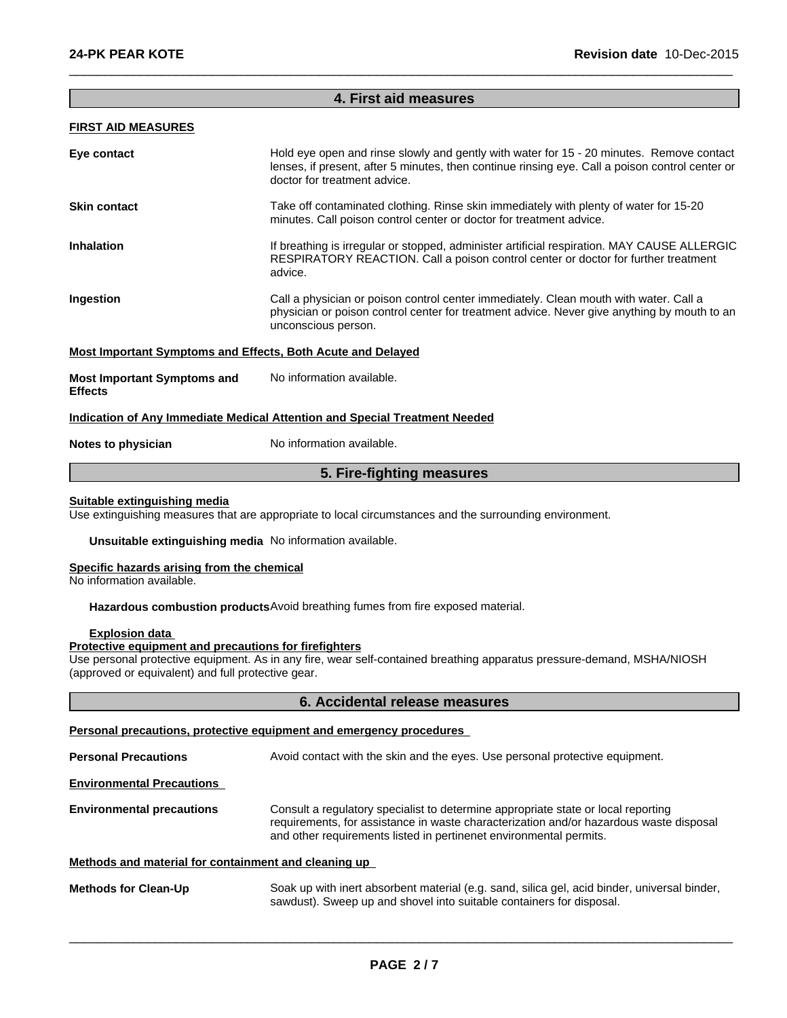#### **4. First aid measures**

 $\overline{\phantom{a}}$  ,  $\overline{\phantom{a}}$  ,  $\overline{\phantom{a}}$  ,  $\overline{\phantom{a}}$  ,  $\overline{\phantom{a}}$  ,  $\overline{\phantom{a}}$  ,  $\overline{\phantom{a}}$  ,  $\overline{\phantom{a}}$  ,  $\overline{\phantom{a}}$  ,  $\overline{\phantom{a}}$  ,  $\overline{\phantom{a}}$  ,  $\overline{\phantom{a}}$  ,  $\overline{\phantom{a}}$  ,  $\overline{\phantom{a}}$  ,  $\overline{\phantom{a}}$  ,  $\overline{\phantom{a}}$ 

## **FIRST AID MEASURES**

| Eye contact                                                        | Hold eye open and rinse slowly and gently with water for 15 - 20 minutes. Remove contact<br>lenses, if present, after 5 minutes, then continue rinsing eye. Call a poison control center or<br>doctor for treatment advice. |
|--------------------------------------------------------------------|-----------------------------------------------------------------------------------------------------------------------------------------------------------------------------------------------------------------------------|
| <b>Skin contact</b>                                                | Take off contaminated clothing. Rinse skin immediately with plenty of water for 15-20<br>minutes. Call poison control center or doctor for treatment advice.                                                                |
| <b>Inhalation</b>                                                  | If breathing is irregular or stopped, administer artificial respiration. MAY CAUSE ALLERGIC<br>RESPIRATORY REACTION. Call a poison control center or doctor for further treatment<br>advice.                                |
| Ingestion                                                          | Call a physician or poison control center immediately. Clean mouth with water. Call a<br>physician or poison control center for treatment advice. Never give anything by mouth to an<br>unconscious person.                 |
| <b>Most Important Symptoms and Effects, Both Acute and Delayed</b> |                                                                                                                                                                                                                             |
| <b>Most Important Symptoms and</b><br><b>Effects</b>               | No information available.                                                                                                                                                                                                   |
|                                                                    | Indication of Any Immediate Medical Attention and Special Treatment Needed                                                                                                                                                  |
| Notes to physician                                                 | No information available.                                                                                                                                                                                                   |

## **5. Fire-fighting measures**

#### **Suitable extinguishing media**

Use extinguishing measures that are appropriate to local circumstances and the surrounding environment.

**Unsuitable extinguishing media** No information available.

#### **Specific hazards arising from the chemical**

No information available.

**Hazardous combustion products**Avoid breathing fumes from fire exposed material.

#### **Explosion data**

## **Protective equipment and precautions for firefighters**

Use personal protective equipment. As in any fire, wear self-contained breathing apparatus pressure-demand, MSHA/NIOSH (approved or equivalent) and full protective gear.

#### **6. Accidental release measures**

#### **Personal precautions, protective equipment and emergency procedures**

**Personal Precautions** Avoid contact with the skin and the eyes. Use personal protective equipment. **Environmental Precautions Environmental precautions** Consult a regulatory specialist to determine appropriate state or local reporting requirements, for assistance in waste characterization and/or hazardous waste disposal and other requirements listed in pertinenet environmental permits.

Methods and material for containment and cleaning up<br>
Soak up with inert absorbent material (e.g. sand, silica gel, acid binder, universal binder,<br>
sawdust). Sweep up and shovel into suitable containers for disposal. **Methods for Clean-Up** Soak up with inert absorbent material (e.g. sand, silica gel, acid binder, universal binder, sawdust). Sweep up and shovel into suitable containers for disposal.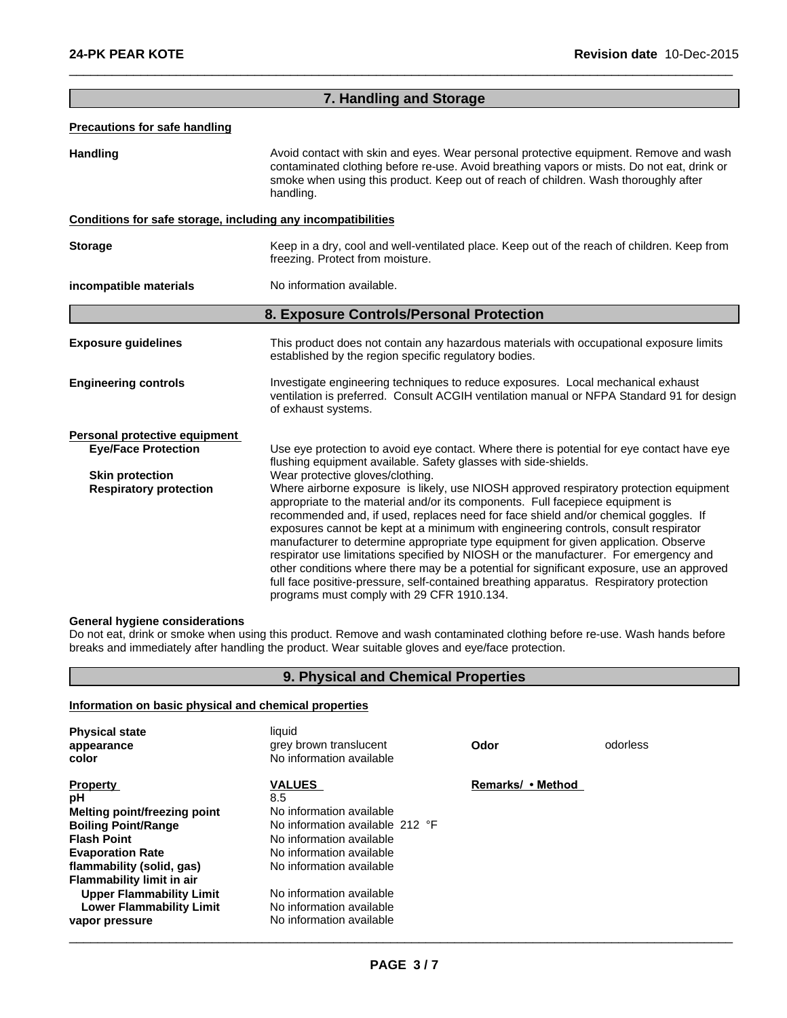|                                                              | 7. Handling and Storage                                                                                                                                                                                                                                                                                                                                                                                                                                                                                                                                                                                                                                                                                                                                                     |
|--------------------------------------------------------------|-----------------------------------------------------------------------------------------------------------------------------------------------------------------------------------------------------------------------------------------------------------------------------------------------------------------------------------------------------------------------------------------------------------------------------------------------------------------------------------------------------------------------------------------------------------------------------------------------------------------------------------------------------------------------------------------------------------------------------------------------------------------------------|
| <b>Precautions for safe handling</b>                         |                                                                                                                                                                                                                                                                                                                                                                                                                                                                                                                                                                                                                                                                                                                                                                             |
| <b>Handling</b>                                              | Avoid contact with skin and eyes. Wear personal protective equipment. Remove and wash<br>contaminated clothing before re-use. Avoid breathing vapors or mists. Do not eat, drink or<br>smoke when using this product. Keep out of reach of children. Wash thoroughly after<br>handling.                                                                                                                                                                                                                                                                                                                                                                                                                                                                                     |
| Conditions for safe storage, including any incompatibilities |                                                                                                                                                                                                                                                                                                                                                                                                                                                                                                                                                                                                                                                                                                                                                                             |
| <b>Storage</b>                                               | Keep in a dry, cool and well-ventilated place. Keep out of the reach of children. Keep from<br>freezing. Protect from moisture.                                                                                                                                                                                                                                                                                                                                                                                                                                                                                                                                                                                                                                             |
| incompatible materials                                       | No information available.                                                                                                                                                                                                                                                                                                                                                                                                                                                                                                                                                                                                                                                                                                                                                   |
|                                                              | 8. Exposure Controls/Personal Protection                                                                                                                                                                                                                                                                                                                                                                                                                                                                                                                                                                                                                                                                                                                                    |
| <b>Exposure guidelines</b>                                   | This product does not contain any hazardous materials with occupational exposure limits<br>established by the region specific regulatory bodies.                                                                                                                                                                                                                                                                                                                                                                                                                                                                                                                                                                                                                            |
| <b>Engineering controls</b>                                  | Investigate engineering techniques to reduce exposures. Local mechanical exhaust<br>ventilation is preferred. Consult ACGIH ventilation manual or NFPA Standard 91 for design<br>of exhaust systems.                                                                                                                                                                                                                                                                                                                                                                                                                                                                                                                                                                        |
| Personal protective equipment                                |                                                                                                                                                                                                                                                                                                                                                                                                                                                                                                                                                                                                                                                                                                                                                                             |
| <b>Eye/Face Protection</b>                                   | Use eye protection to avoid eye contact. Where there is potential for eye contact have eye<br>flushing equipment available. Safety glasses with side-shields.                                                                                                                                                                                                                                                                                                                                                                                                                                                                                                                                                                                                               |
| <b>Skin protection</b>                                       | Wear protective gloves/clothing.                                                                                                                                                                                                                                                                                                                                                                                                                                                                                                                                                                                                                                                                                                                                            |
| <b>Respiratory protection</b>                                | Where airborne exposure is likely, use NIOSH approved respiratory protection equipment<br>appropriate to the material and/or its components. Full facepiece equipment is<br>recommended and, if used, replaces need for face shield and/or chemical goggles. If<br>exposures cannot be kept at a minimum with engineering controls, consult respirator<br>manufacturer to determine appropriate type equipment for given application. Observe<br>respirator use limitations specified by NIOSH or the manufacturer. For emergency and<br>other conditions where there may be a potential for significant exposure, use an approved<br>full face positive-pressure, self-contained breathing apparatus. Respiratory protection<br>programs must comply with 29 CFR 1910.134. |

 $\overline{\phantom{a}}$  ,  $\overline{\phantom{a}}$  ,  $\overline{\phantom{a}}$  ,  $\overline{\phantom{a}}$  ,  $\overline{\phantom{a}}$  ,  $\overline{\phantom{a}}$  ,  $\overline{\phantom{a}}$  ,  $\overline{\phantom{a}}$  ,  $\overline{\phantom{a}}$  ,  $\overline{\phantom{a}}$  ,  $\overline{\phantom{a}}$  ,  $\overline{\phantom{a}}$  ,  $\overline{\phantom{a}}$  ,  $\overline{\phantom{a}}$  ,  $\overline{\phantom{a}}$  ,  $\overline{\phantom{a}}$ 

#### **General hygiene considerations**

Do not eat, drink or smoke when using this product. Remove and wash contaminated clothing before re-use. Wash hands before breaks and immediately after handling the product. Wear suitable gloves and eye/face protection.

## **9. Physical and Chemical Properties**

### **Information on basic physical and chemical properties**

| <b>Physical state</b><br>appearance<br>color | liquid<br>grey brown translucent<br>No information available | Odor              | odorless |  |
|----------------------------------------------|--------------------------------------------------------------|-------------------|----------|--|
| <b>Property</b>                              | <b>VALUES</b>                                                | Remarks/ • Method |          |  |
| рH                                           | 8.5                                                          |                   |          |  |
| Melting point/freezing point                 | No information available                                     |                   |          |  |
| <b>Boiling Point/Range</b>                   | No information available 212 °F                              |                   |          |  |
| <b>Flash Point</b>                           | No information available                                     |                   |          |  |
| <b>Evaporation Rate</b>                      | No information available                                     |                   |          |  |
| flammability (solid, gas)                    | No information available                                     |                   |          |  |
| <b>Flammability limit in air</b>             |                                                              |                   |          |  |
| <b>Upper Flammability Limit</b>              | No information available                                     |                   |          |  |
| <b>Lower Flammability Limit</b>              | No information available                                     |                   |          |  |
| vapor pressure                               | No information available                                     |                   |          |  |
|                                              |                                                              |                   |          |  |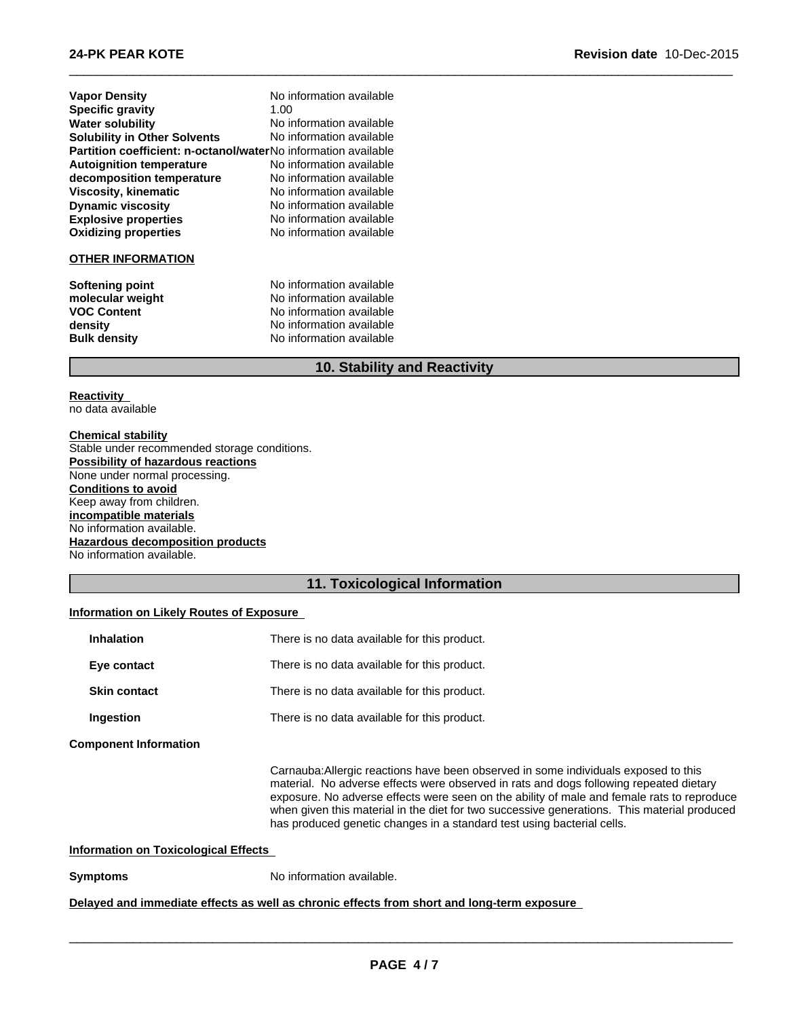| <b>Vapor Density</b>                                                  | No information available |
|-----------------------------------------------------------------------|--------------------------|
| <b>Specific gravity</b>                                               | 1.00                     |
| <b>Water solubility</b>                                               | No information available |
| <b>Solubility in Other Solvents</b>                                   | No information available |
| <b>Partition coefficient: n-octanol/waterNo</b> information available |                          |
| <b>Autoignition temperature</b>                                       | No information available |
| decomposition temperature                                             | No information available |
| Viscosity, kinematic                                                  | No information available |
| <b>Dynamic viscosity</b>                                              | No information available |
| <b>Explosive properties</b>                                           | No information available |
| <b>Oxidizing properties</b>                                           | No information available |
| <b>OTHER INFORMATION</b>                                              |                          |
| Softening point                                                       | No information available |
| molecular weight                                                      | No information available |
| <b>VOC Content</b>                                                    | No information available |
| density                                                               | No information available |
| <b>Bulk density</b>                                                   | No information available |

## **10. Stability and Reactivity**

 $\overline{\phantom{a}}$  ,  $\overline{\phantom{a}}$  ,  $\overline{\phantom{a}}$  ,  $\overline{\phantom{a}}$  ,  $\overline{\phantom{a}}$  ,  $\overline{\phantom{a}}$  ,  $\overline{\phantom{a}}$  ,  $\overline{\phantom{a}}$  ,  $\overline{\phantom{a}}$  ,  $\overline{\phantom{a}}$  ,  $\overline{\phantom{a}}$  ,  $\overline{\phantom{a}}$  ,  $\overline{\phantom{a}}$  ,  $\overline{\phantom{a}}$  ,  $\overline{\phantom{a}}$  ,  $\overline{\phantom{a}}$ 

## **Reactivity**

no data available

### **Chemical stability**

Stable under recommended storage conditions. **Possibility of hazardous reactions** None under normal processing. **Conditions to avoid** Keep away from children. **incompatible materials** No information available. **Hazardous decomposition products** No information available.

## **11. Toxicological Information**

#### **Information on Likely Routes of Exposure**

| <b>Inhalation</b>            |                                             | There is no data available for this product.                                                                                                                                                                                                                                                                                                                                                                                                         |
|------------------------------|---------------------------------------------|------------------------------------------------------------------------------------------------------------------------------------------------------------------------------------------------------------------------------------------------------------------------------------------------------------------------------------------------------------------------------------------------------------------------------------------------------|
| Eye contact                  |                                             | There is no data available for this product.                                                                                                                                                                                                                                                                                                                                                                                                         |
| <b>Skin contact</b>          |                                             | There is no data available for this product.                                                                                                                                                                                                                                                                                                                                                                                                         |
| Ingestion                    |                                             | There is no data available for this product.                                                                                                                                                                                                                                                                                                                                                                                                         |
| <b>Component Information</b> |                                             |                                                                                                                                                                                                                                                                                                                                                                                                                                                      |
|                              |                                             | Carnauba: Allergic reactions have been observed in some individuals exposed to this<br>material. No adverse effects were observed in rats and dogs following repeated dietary<br>exposure. No adverse effects were seen on the ability of male and female rats to reproduce<br>when given this material in the diet for two successive generations. This material produced<br>has produced genetic changes in a standard test using bacterial cells. |
|                              | <b>Information on Toxicological Effects</b> |                                                                                                                                                                                                                                                                                                                                                                                                                                                      |
| <b>Symptoms</b>              |                                             | No information available.                                                                                                                                                                                                                                                                                                                                                                                                                            |
|                              |                                             | Delayed and immediate effects as well as chronic effects from short and long-term exposure                                                                                                                                                                                                                                                                                                                                                           |
|                              |                                             |                                                                                                                                                                                                                                                                                                                                                                                                                                                      |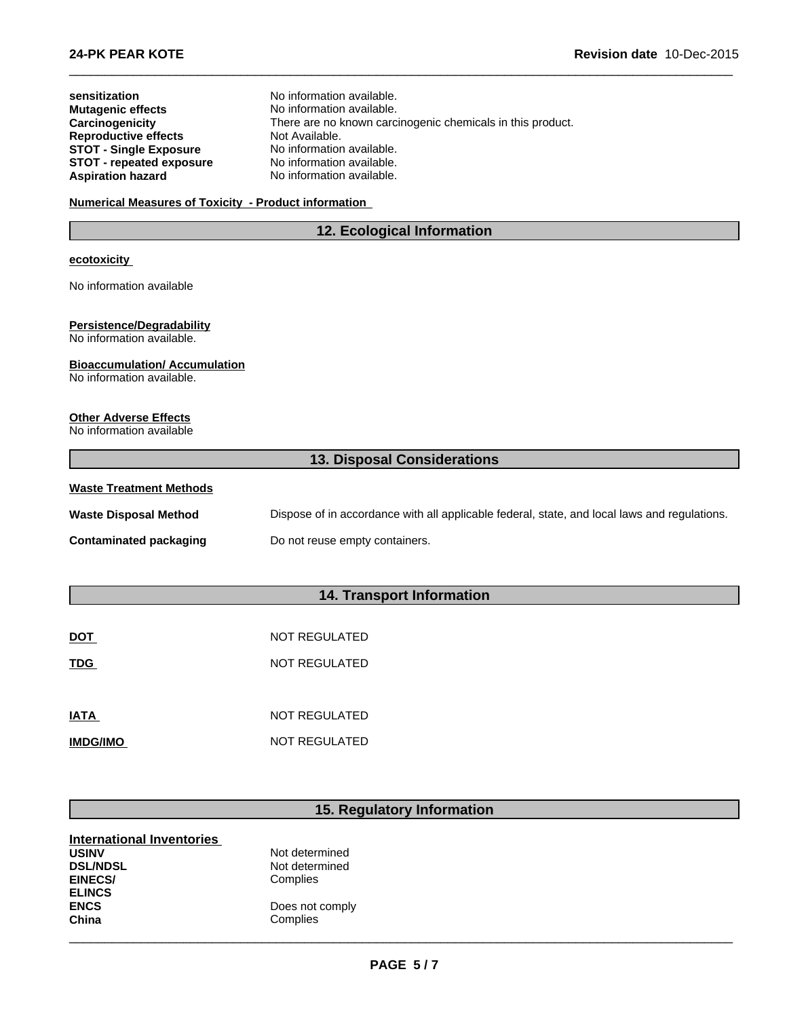| sensitization<br><b>Mutagenic effects</b><br>Carcinogenicity<br><b>Reproductive effects</b><br><b>STOT - Single Exposure</b><br><b>STOT - repeated exposure</b> | No information available.<br>No information available.<br>There are no known carcinogenic chemicals in this product.<br>Not Available.<br>No information available.<br>No information available. |
|-----------------------------------------------------------------------------------------------------------------------------------------------------------------|--------------------------------------------------------------------------------------------------------------------------------------------------------------------------------------------------|
| <b>Aspiration hazard</b>                                                                                                                                        | No information available.                                                                                                                                                                        |
| <b>Numerical Measures of Toxicity - Product information</b>                                                                                                     |                                                                                                                                                                                                  |
|                                                                                                                                                                 | 12. Ecological Information                                                                                                                                                                       |
| <b>ecotoxicity</b>                                                                                                                                              |                                                                                                                                                                                                  |
| No information available                                                                                                                                        |                                                                                                                                                                                                  |
|                                                                                                                                                                 |                                                                                                                                                                                                  |
| <b>Persistence/Degradability</b><br>No information available.                                                                                                   |                                                                                                                                                                                                  |
| <b>Bioaccumulation/Accumulation</b><br>No information available.                                                                                                |                                                                                                                                                                                                  |
|                                                                                                                                                                 |                                                                                                                                                                                                  |
| <b>Other Adverse Effects</b><br>No information available                                                                                                        |                                                                                                                                                                                                  |
|                                                                                                                                                                 |                                                                                                                                                                                                  |
|                                                                                                                                                                 | 13. Disposal Considerations                                                                                                                                                                      |
| <b>Waste Treatment Methods</b>                                                                                                                                  |                                                                                                                                                                                                  |
| <b>Waste Disposal Method</b>                                                                                                                                    | Dispose of in accordance with all applicable federal, state, and local laws and regulations.                                                                                                     |
| <b>Contaminated packaging</b>                                                                                                                                   | Do not reuse empty containers.                                                                                                                                                                   |
|                                                                                                                                                                 |                                                                                                                                                                                                  |

 $\overline{\phantom{a}}$  ,  $\overline{\phantom{a}}$  ,  $\overline{\phantom{a}}$  ,  $\overline{\phantom{a}}$  ,  $\overline{\phantom{a}}$  ,  $\overline{\phantom{a}}$  ,  $\overline{\phantom{a}}$  ,  $\overline{\phantom{a}}$  ,  $\overline{\phantom{a}}$  ,  $\overline{\phantom{a}}$  ,  $\overline{\phantom{a}}$  ,  $\overline{\phantom{a}}$  ,  $\overline{\phantom{a}}$  ,  $\overline{\phantom{a}}$  ,  $\overline{\phantom{a}}$  ,  $\overline{\phantom{a}}$ 

## **14. Transport Information**

| <b>DOT</b>      | NOT REGULATED |
|-----------------|---------------|
| <b>TDG</b>      | NOT REGULATED |
|                 |               |
| <b>IATA</b>     | NOT REGULATED |
| <b>IMDG/IMO</b> | NOT REGULATED |

## **15. Regulatory Information**

| <b>International Inventories</b> |                 |  |  |
|----------------------------------|-----------------|--|--|
| <b>USINV</b>                     | Not determined  |  |  |
| <b>DSL/NDSL</b>                  | Not determined  |  |  |
| <b>EINECS/</b>                   | Complies        |  |  |
| <b>ELINCS</b>                    |                 |  |  |
| <b>ENCS</b>                      | Does not comply |  |  |
| China                            | Complies        |  |  |
|                                  |                 |  |  |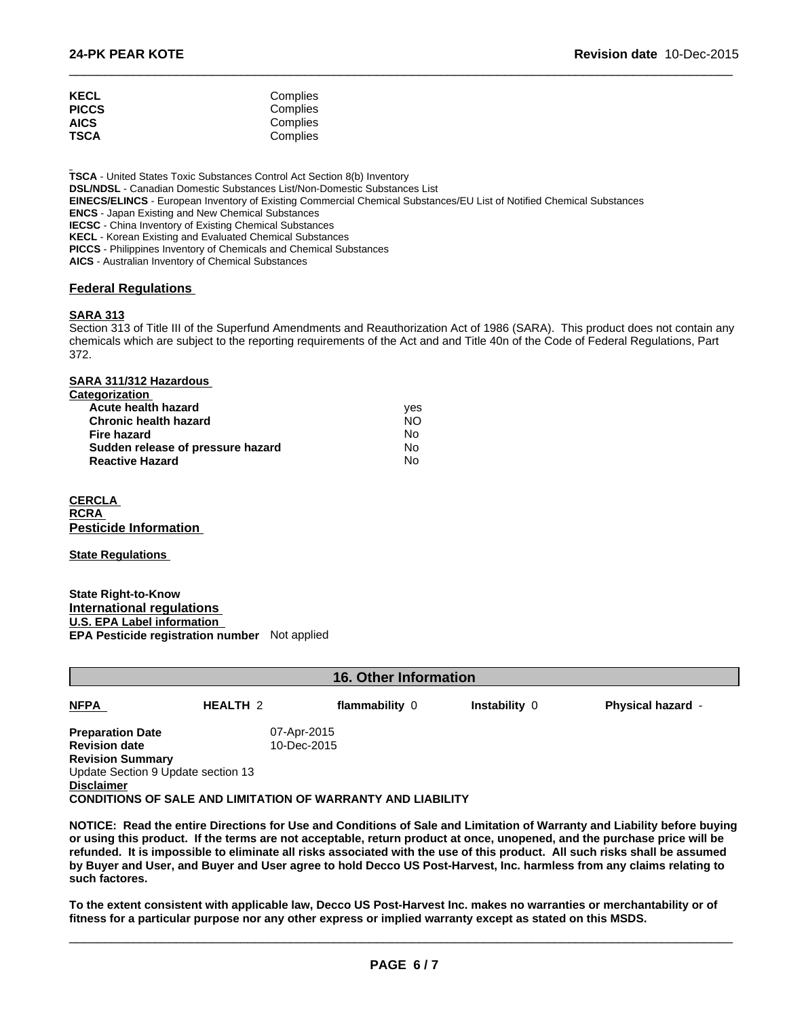| <b>KECL</b><br><b>PICCS</b> | Complies<br>Complies |  |
|-----------------------------|----------------------|--|
| <b>AICS</b><br>TSCA         | Complies<br>Complies |  |

**TSCA** - United States Toxic Substances Control Act Section 8(b) Inventory **DSL/NDSL** - Canadian Domestic Substances List/Non-Domestic Substances List **EINECS/ELINCS** - European Inventory of Existing Commercial Chemical Substances/EU List of Notified Chemical Substances **ENCS** - Japan Existing and New Chemical Substances **IECSC** - China Inventory of Existing Chemical Substances **KECL** - Korean Existing and Evaluated Chemical Substances **PICCS** - Philippines Inventory of Chemicals and Chemical Substances **AICS** - Australian Inventory of Chemical Substances

## **Federal Regulations**

## **SARA 313**

Section 313 of Title III of the Superfund Amendments and Reauthorization Act of 1986 (SARA). This product does not contain any chemicals which are subject to the reporting requirements of the Act and and Title 40n of the Code of Federal Regulations, Part 372.

 $\overline{\phantom{a}}$  ,  $\overline{\phantom{a}}$  ,  $\overline{\phantom{a}}$  ,  $\overline{\phantom{a}}$  ,  $\overline{\phantom{a}}$  ,  $\overline{\phantom{a}}$  ,  $\overline{\phantom{a}}$  ,  $\overline{\phantom{a}}$  ,  $\overline{\phantom{a}}$  ,  $\overline{\phantom{a}}$  ,  $\overline{\phantom{a}}$  ,  $\overline{\phantom{a}}$  ,  $\overline{\phantom{a}}$  ,  $\overline{\phantom{a}}$  ,  $\overline{\phantom{a}}$  ,  $\overline{\phantom{a}}$ 

| ves |
|-----|
| NO. |
| No  |
| No  |
| No  |
|     |

**CERCLA RCRA Pesticide Information** 

**State Regulations** 

**State Right-to-Know International regulations U.S. EPA Label information EPA Pesticide registration number** Not applied

| <b>16. Other Information</b>       |                 |                                                                    |                      |                          |
|------------------------------------|-----------------|--------------------------------------------------------------------|----------------------|--------------------------|
| <b>NFPA</b>                        | <b>HEALTH 2</b> | flammability 0                                                     | <b>Instability 0</b> | <b>Physical hazard -</b> |
| <b>Preparation Date</b>            | 07-Apr-2015     |                                                                    |                      |                          |
| <b>Revision date</b>               |                 | 10-Dec-2015                                                        |                      |                          |
| <b>Revision Summary</b>            |                 |                                                                    |                      |                          |
| Update Section 9 Update section 13 |                 |                                                                    |                      |                          |
| <b>Disclaimer</b>                  |                 |                                                                    |                      |                          |
|                                    |                 | <b>CONDITIONS OF SALE AND LIMITATION OF WARRANTY AND LIABILITY</b> |                      |                          |
|                                    |                 |                                                                    |                      |                          |

**NOTICE: Read the entire Directions for Use and Conditions of Sale and Limitation of Warranty and Liability before buying or using this product. If the terms are not acceptable, return product at once, unopened, and the purchase price will be refunded. It is impossible to eliminate all risks associated with the use of this product. All such risks shall be assumed by Buyer and User, and Buyer and User agree to hold Decco US Post-Harvest, Inc. harmless from any claims relating to such factores.**

**To the extent consistent with applicable law, Decco US Post-Harvest Inc. makes no warranties or merchantability or of fitness for a particular purpose nor any other express or implied warranty except as stated on this MSDS.**